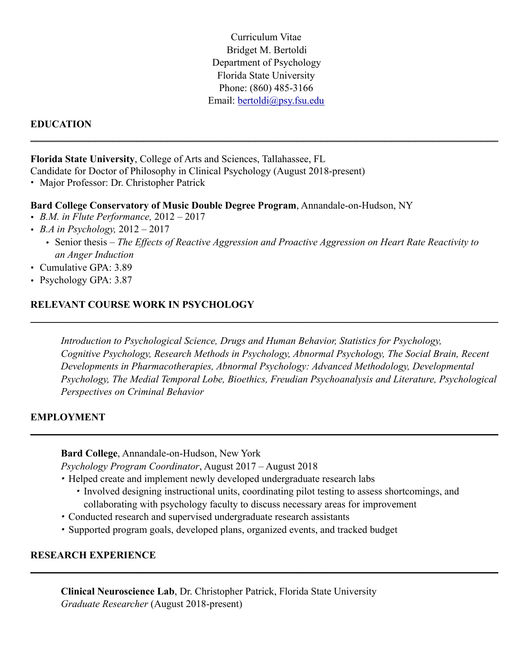Curriculum Vitae Bridget M. Bertoldi Department of Psychology Florida State University Phone: (860) 485-3166 Email: [bertoldi@psy.fsu.edu](mailto:bertoldi@psy.fsu.edu)

### **EDUCATION**  \_\_\_\_\_\_\_\_\_\_\_\_\_\_\_\_\_\_\_\_\_\_\_\_\_\_\_\_\_\_\_\_\_\_\_\_\_\_\_\_\_\_\_\_\_\_\_\_\_\_\_\_\_\_\_\_\_\_\_\_\_\_\_\_\_\_\_\_\_\_\_\_\_\_\_\_\_\_\_

**Florida State University**, College of Arts and Sciences, Tallahassee, FL Candidate for Doctor of Philosophy in Clinical Psychology (August 2018-present)

• Major Professor: Dr. Christopher Patrick

#### **Bard College Conservatory of Music Double Degree Program**, Annandale-on-Hudson, NY

- *B.M. in Flute Performance,* 2012 2017
- *B.A in Psychology,* 2012 2017
	- Senior thesis *The Effects of Reactive Aggression and Proactive Aggression on Heart Rate Reactivity to an Anger Induction*

\_\_\_\_\_\_\_\_\_\_\_\_\_\_\_\_\_\_\_\_\_\_\_\_\_\_\_\_\_\_\_\_\_\_\_\_\_\_\_\_\_\_\_\_\_\_\_\_\_\_\_\_\_\_\_\_\_\_\_\_\_\_\_\_\_\_\_\_\_\_\_\_\_\_\_\_\_\_\_

- Cumulative GPA: 3.89
- Psychology GPA: 3.87

### **RELEVANT COURSE WORK IN PSYCHOLOGY**

*Introduction to Psychological Science, Drugs and Human Behavior, Statistics for Psychology, Cognitive Psychology, Research Methods in Psychology, Abnormal Psychology, The Social Brain, Recent Developments in Pharmacotherapies, Abnormal Psychology: Advanced Methodology, Developmental Psychology, The Medial Temporal Lobe, Bioethics, Freudian Psychoanalysis and Literature, Psychological Perspectives on Criminal Behavior* 

#### **EMPLOYMENT**

**Bard College**, Annandale-on-Hudson, New York  *Psychology Program Coordinator*, August 2017 – August 2018

- *•* Helped create and implement newly developed undergraduate research labs
	- *•* Involved designing instructional units, coordinating pilot testing to assess shortcomings, and collaborating with psychology faculty to discuss necessary areas for improvement

 $\_$  , and the contribution of the contribution of the contribution of the contribution of  $\mathcal{L}_\text{max}$ 

 $\_$  , and the contribution of the contribution of the contribution of the contribution of the contribution of  $\mathcal{L}_\text{max}$ 

- *•* Conducted research and supervised undergraduate research assistants
- *•* Supported program goals, developed plans, organized events, and tracked budget

### **RESEARCH EXPERIENCE**

 **Clinical Neuroscience Lab**, Dr. Christopher Patrick, Florida State University *Graduate Researcher* (August 2018-present)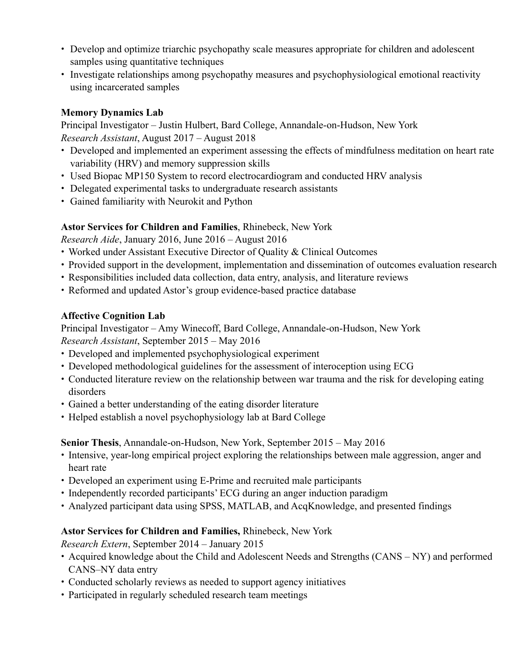- Develop and optimize triarchic psychopathy scale measures appropriate for children and adolescent samples using quantitative techniques
- Investigate relationships among psychopathy measures and psychophysiological emotional reactivity using incarcerated samples

### **Memory Dynamics Lab**

Principal Investigator – Justin Hulbert, Bard College, Annandale-on-Hudson, New York *Research Assistant*, August 2017 – August 2018

- Developed and implemented an experiment assessing the effects of mindfulness meditation on heart rate variability (HRV) and memory suppression skills
- Used Biopac MP150 System to record electrocardiogram and conducted HRV analysis
- Delegated experimental tasks to undergraduate research assistants
- Gained familiarity with Neurokit and Python

# **Astor Services for Children and Families**, Rhinebeck, New York

*Research Aide*, January 2016, June 2016 – August 2016

- Worked under Assistant Executive Director of Quality & Clinical Outcomes
- Provided support in the development, implementation and dissemination of outcomes evaluation research
- Responsibilities included data collection, data entry, analysis, and literature reviews
- Reformed and updated Astor's group evidence-based practice database

# **Affective Cognition Lab**

Principal Investigator – Amy Winecoff, Bard College, Annandale-on-Hudson, New York *Research Assistant*, September 2015 – May 2016

- Developed and implemented psychophysiological experiment
- Developed methodological guidelines for the assessment of interoception using ECG
- Conducted literature review on the relationship between war trauma and the risk for developing eating disorders
- Gained a better understanding of the eating disorder literature
- Helped establish a novel psychophysiology lab at Bard College

**Senior Thesis**, Annandale-on-Hudson, New York, September 2015 – May 2016

- Intensive, year-long empirical project exploring the relationships between male aggression, anger and heart rate
- Developed an experiment using E-Prime and recruited male participants
- Independently recorded participants' ECG during an anger induction paradigm
- Analyzed participant data using SPSS, MATLAB, and AcqKnowledge, and presented findings

# **Astor Services for Children and Families,** Rhinebeck, New York

*Research Extern*, September 2014 – January 2015

- Acquired knowledge about the Child and Adolescent Needs and Strengths (CANS NY) and performed CANS–NY data entry
- Conducted scholarly reviews as needed to support agency initiatives
- Participated in regularly scheduled research team meetings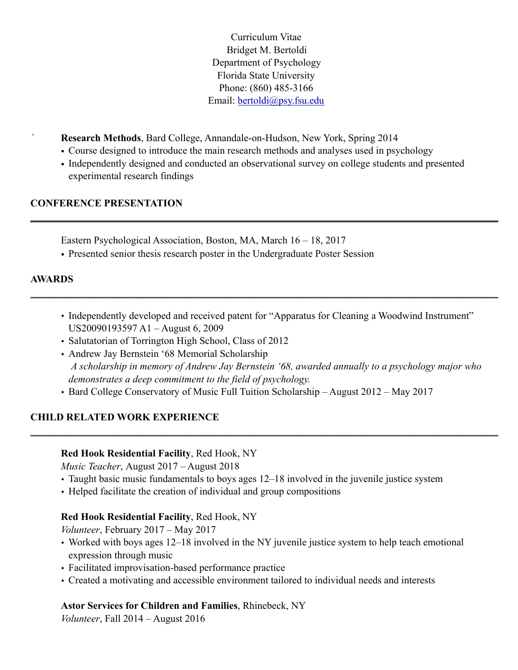Curriculum Vitae Bridget M. Bertoldi Department of Psychology Florida State University Phone: (860) 485-3166 Email: [bertoldi@psy.fsu.edu](mailto:bertoldi@psy.fsu.edu)

*`* **Research Methods**, Bard College, Annandale-on-Hudson, New York, Spring 2014

- Course designed to introduce the main research methods and analyses used in psychology
- Independently designed and conducted an observational survey on college students and presented experimental research findings

\_\_\_\_\_\_\_\_\_\_\_\_\_\_\_\_\_\_\_\_\_\_\_\_\_\_\_\_\_\_\_\_\_\_\_\_\_\_\_\_\_\_\_\_\_\_\_\_\_\_\_\_\_\_\_\_\_\_\_\_\_\_\_\_\_\_\_\_\_\_\_\_\_\_\_\_\_\_\_

# **CONFERENCE PRESENTATION**

Eastern Psychological Association, Boston, MA, March 16 – 18, 2017

• Presented senior thesis research poster in the Undergraduate Poster Session

### **AWARDS**

• Independently developed and received patent for "Apparatus for Cleaning a Woodwind Instrument" US20090193597 A1 – August 6, 2009

\_\_\_\_\_\_\_\_\_\_\_\_\_\_\_\_\_\_\_\_\_\_\_\_\_\_\_\_\_\_\_\_\_\_\_\_\_\_\_\_\_\_\_\_\_\_\_\_\_\_\_\_\_\_\_\_\_\_\_\_\_\_\_\_\_\_\_\_\_\_\_\_\_\_\_\_\_\_\_

- Salutatorian of Torrington High School, Class of 2012
- Andrew Jay Bernstein '68 Memorial Scholarship *A scholarship in memory of Andrew Jay Bernstein '68, awarded annually to a psychology major who demonstrates a deep commitment to the field of psychology.*

\_\_\_\_\_\_\_\_\_\_\_\_\_\_\_\_\_\_\_\_\_\_\_\_\_\_\_\_\_\_\_\_\_\_\_\_\_\_\_\_\_\_\_\_\_\_\_\_\_\_\_\_\_\_\_\_\_\_\_\_\_\_\_\_\_\_\_\_\_\_\_\_\_\_\_\_\_\_\_

• Bard College Conservatory of Music Full Tuition Scholarship – August 2012 – May 2017

# **CHILD RELATED WORK EXPERIENCE**

### **Red Hook Residential Facility**, Red Hook, NY

*Music Teacher*, August 2017 – August 2018

- Taught basic music fundamentals to boys ages 12–18 involved in the juvenile justice system
- Helped facilitate the creation of individual and group compositions

### **Red Hook Residential Facility**, Red Hook, NY

*Volunteer*, February 2017 – May 2017

- Worked with boys ages 12–18 involved in the NY juvenile justice system to help teach emotional expression through music
- Facilitated improvisation-based performance practice
- Created a motivating and accessible environment tailored to individual needs and interests

# **Astor Services for Children and Families**, Rhinebeck, NY

*Volunteer*, Fall 2014 – August 2016